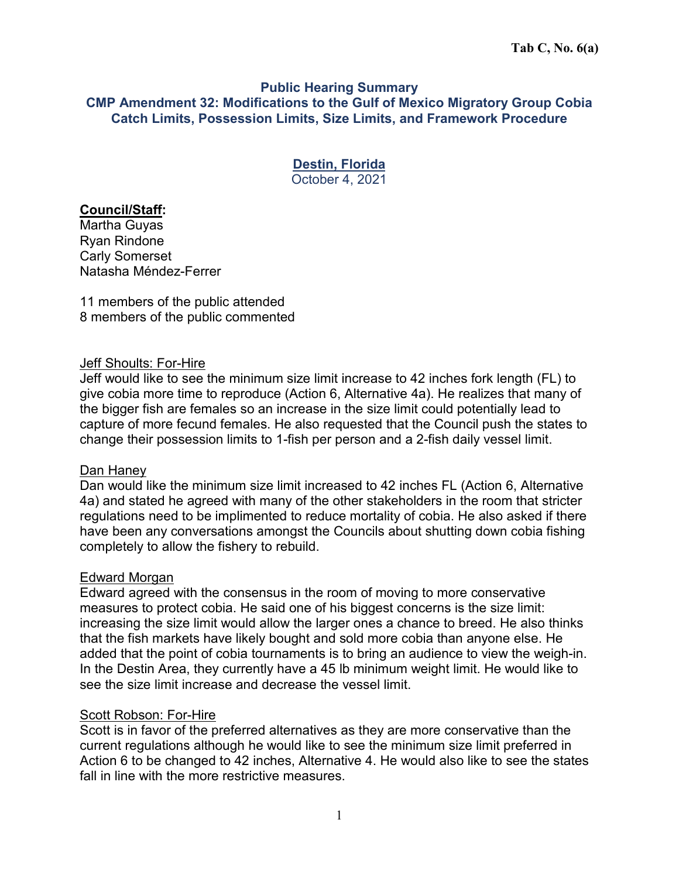### **Public Hearing Summary CMP Amendment 32: Modifications to the Gulf of Mexico Migratory Group Cobia Catch Limits, Possession Limits, Size Limits, and Framework Procedure**

### **Destin, Florida**  October 4, 2021

# **Council/Staff:**

Martha Guyas Ryan Rindone Carly Somerset Natasha Méndez-Ferrer

11 members of the public attended 8 members of the public commented

### Jeff Shoults: For-Hire

Jeff would like to see the minimum size limit increase to 42 inches fork length (FL) to give cobia more time to reproduce (Action 6, Alternative 4a). He realizes that many of the bigger fish are females so an increase in the size limit could potentially lead to capture of more fecund females. He also requested that the Council push the states to change their possession limits to 1-fish per person and a 2-fish daily vessel limit.

#### Dan Haney

Dan would like the minimum size limit increased to 42 inches FL (Action 6, Alternative 4a) and stated he agreed with many of the other stakeholders in the room that stricter regulations need to be implimented to reduce mortality of cobia. He also asked if there have been any conversations amongst the Councils about shutting down cobia fishing completely to allow the fishery to rebuild.

#### Edward Morgan

Edward agreed with the consensus in the room of moving to more conservative measures to protect cobia. He said one of his biggest concerns is the size limit: increasing the size limit would allow the larger ones a chance to breed. He also thinks that the fish markets have likely bought and sold more cobia than anyone else. He added that the point of cobia tournaments is to bring an audience to view the weigh-in. In the Destin Area, they currently have a 45 lb minimum weight limit. He would like to see the size limit increase and decrease the vessel limit.

#### Scott Robson: For-Hire

Scott is in favor of the preferred alternatives as they are more conservative than the current regulations although he would like to see the minimum size limit preferred in Action 6 to be changed to 42 inches, Alternative 4. He would also like to see the states fall in line with the more restrictive measures.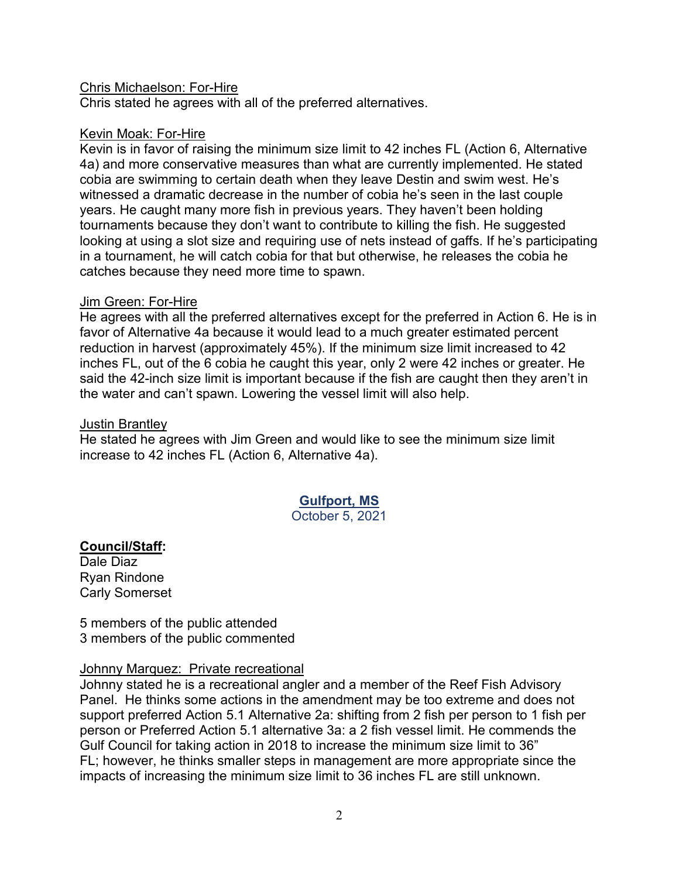### Chris Michaelson: For-Hire

Chris stated he agrees with all of the preferred alternatives.

### Kevin Moak: For-Hire

Kevin is in favor of raising the minimum size limit to 42 inches FL (Action 6, Alternative 4a) and more conservative measures than what are currently implemented. He stated cobia are swimming to certain death when they leave Destin and swim west. He's witnessed a dramatic decrease in the number of cobia he's seen in the last couple years. He caught many more fish in previous years. They haven't been holding tournaments because they don't want to contribute to killing the fish. He suggested looking at using a slot size and requiring use of nets instead of gaffs. If he's participating in a tournament, he will catch cobia for that but otherwise, he releases the cobia he catches because they need more time to spawn.

### Jim Green: For-Hire

He agrees with all the preferred alternatives except for the preferred in Action 6. He is in favor of Alternative 4a because it would lead to a much greater estimated percent reduction in harvest (approximately 45%). If the minimum size limit increased to 42 inches FL, out of the 6 cobia he caught this year, only 2 were 42 inches or greater. He said the 42-inch size limit is important because if the fish are caught then they aren't in the water and can't spawn. Lowering the vessel limit will also help.

### Justin Brantley

He stated he agrees with Jim Green and would like to see the minimum size limit increase to 42 inches FL (Action 6, Alternative 4a).

# **Gulfport, MS**

October 5, 2021

# **Council/Staff:**

Dale Diaz Ryan Rindone Carly Somerset

5 members of the public attended 3 members of the public commented

### Johnny Marquez: Private recreational

Johnny stated he is a recreational angler and a member of the Reef Fish Advisory Panel. He thinks some actions in the amendment may be too extreme and does not support preferred Action 5.1 Alternative 2a: shifting from 2 fish per person to 1 fish per person or Preferred Action 5.1 alternative 3a: a 2 fish vessel limit. He commends the Gulf Council for taking action in 2018 to increase the minimum size limit to 36" FL; however, he thinks smaller steps in management are more appropriate since the impacts of increasing the minimum size limit to 36 inches FL are still unknown.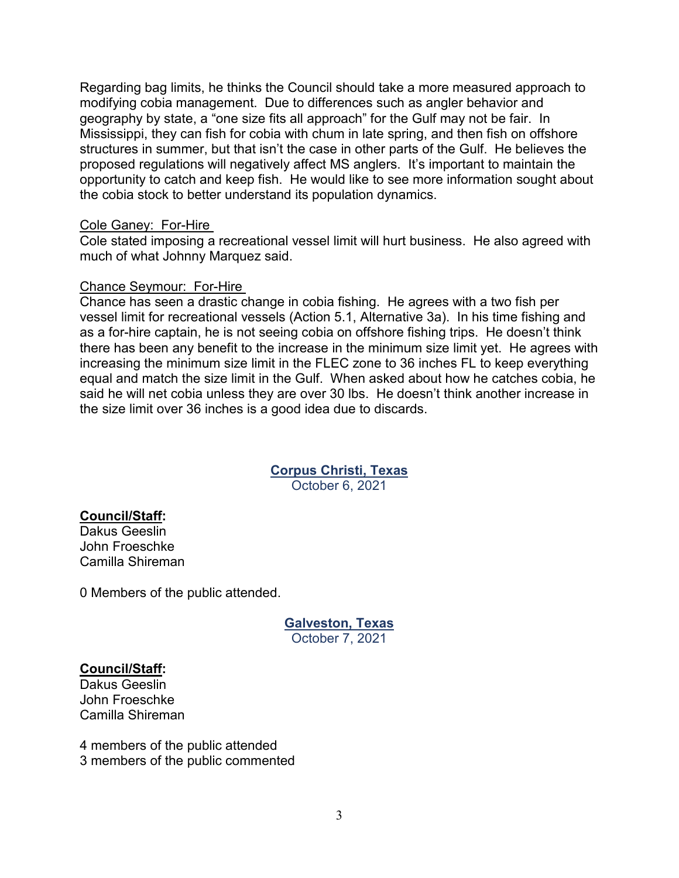Regarding bag limits, he thinks the Council should take a more measured approach to modifying cobia management. Due to differences such as angler behavior and geography by state, a "one size fits all approach" for the Gulf may not be fair. In Mississippi, they can fish for cobia with chum in late spring, and then fish on offshore structures in summer, but that isn't the case in other parts of the Gulf. He believes the proposed regulations will negatively affect MS anglers. It's important to maintain the opportunity to catch and keep fish. He would like to see more information sought about the cobia stock to better understand its population dynamics.

#### Cole Ganey: For-Hire

Cole stated imposing a recreational vessel limit will hurt business. He also agreed with much of what Johnny Marquez said.

#### Chance Seymour: For-Hire

Chance has seen a drastic change in cobia fishing. He agrees with a two fish per vessel limit for recreational vessels (Action 5.1, Alternative 3a). In his time fishing and as a for-hire captain, he is not seeing cobia on offshore fishing trips. He doesn't think there has been any benefit to the increase in the minimum size limit yet. He agrees with increasing the minimum size limit in the FLEC zone to 36 inches FL to keep everything equal and match the size limit in the Gulf. When asked about how he catches cobia, he said he will net cobia unless they are over 30 lbs. He doesn't think another increase in the size limit over 36 inches is a good idea due to discards.

### **Corpus Christi, Texas**

October 6, 2021

### **Council/Staff:**

Dakus Geeslin John Froeschke Camilla Shireman

0 Members of the public attended.

#### **Galveston, Texas**  October 7, 2021

#### **Council/Staff:**

Dakus Geeslin John Froeschke Camilla Shireman

4 members of the public attended 3 members of the public commented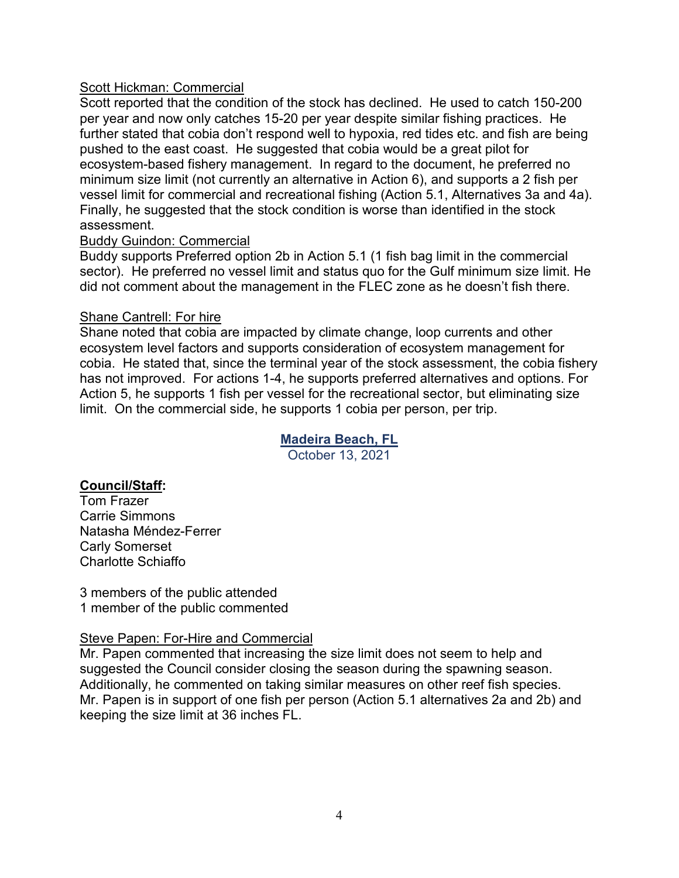# Scott Hickman: Commercial

Scott reported that the condition of the stock has declined. He used to catch 150-200 per year and now only catches 15-20 per year despite similar fishing practices. He further stated that cobia don't respond well to hypoxia, red tides etc. and fish are being pushed to the east coast. He suggested that cobia would be a great pilot for ecosystem-based fishery management. In regard to the document, he preferred no minimum size limit (not currently an alternative in Action 6), and supports a 2 fish per vessel limit for commercial and recreational fishing (Action 5.1, Alternatives 3a and 4a). Finally, he suggested that the stock condition is worse than identified in the stock assessment.

### Buddy Guindon: Commercial

Buddy supports Preferred option 2b in Action 5.1 (1 fish bag limit in the commercial sector). He preferred no vessel limit and status quo for the Gulf minimum size limit. He did not comment about the management in the FLEC zone as he doesn't fish there.

# Shane Cantrell: For hire

Shane noted that cobia are impacted by climate change, loop currents and other ecosystem level factors and supports consideration of ecosystem management for cobia. He stated that, since the terminal year of the stock assessment, the cobia fishery has not improved. For actions 1-4, he supports preferred alternatives and options. For Action 5, he supports 1 fish per vessel for the recreational sector, but eliminating size limit. On the commercial side, he supports 1 cobia per person, per trip.

# **Madeira Beach, FL**

October 13, 2021

# **Council/Staff:**

Tom Frazer Carrie Simmons Natasha Méndez-Ferrer Carly Somerset Charlotte Schiaffo

3 members of the public attended 1 member of the public commented

### Steve Papen: For-Hire and Commercial

Mr. Papen commented that increasing the size limit does not seem to help and suggested the Council consider closing the season during the spawning season. Additionally, he commented on taking similar measures on other reef fish species. Mr. Papen is in support of one fish per person (Action 5.1 alternatives 2a and 2b) and keeping the size limit at 36 inches FL.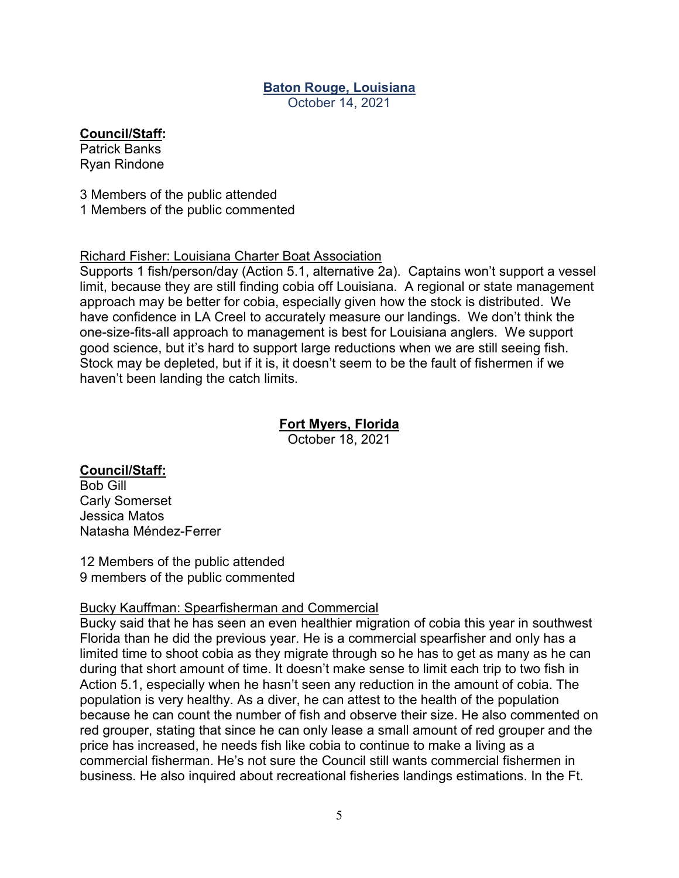# **Baton Rouge, Louisiana**

October 14, 2021

# **Council/Staff:**

Patrick Banks Ryan Rindone

3 Members of the public attended 1 Members of the public commented

### Richard Fisher: Louisiana Charter Boat Association

Supports 1 fish/person/day (Action 5.1, alternative 2a). Captains won't support a vessel limit, because they are still finding cobia off Louisiana. A regional or state management approach may be better for cobia, especially given how the stock is distributed. We have confidence in LA Creel to accurately measure our landings. We don't think the one-size-fits-all approach to management is best for Louisiana anglers. We support good science, but it's hard to support large reductions when we are still seeing fish. Stock may be depleted, but if it is, it doesn't seem to be the fault of fishermen if we haven't been landing the catch limits.

### **Fort Myers, Florida**

October 18, 2021

# **Council/Staff:**

Bob Gill Carly Somerset Jessica Matos Natasha Méndez-Ferrer

12 Members of the public attended 9 members of the public commented

# Bucky Kauffman: Spearfisherman and Commercial

Bucky said that he has seen an even healthier migration of cobia this year in southwest Florida than he did the previous year. He is a commercial spearfisher and only has a limited time to shoot cobia as they migrate through so he has to get as many as he can during that short amount of time. It doesn't make sense to limit each trip to two fish in Action 5.1, especially when he hasn't seen any reduction in the amount of cobia. The population is very healthy. As a diver, he can attest to the health of the population because he can count the number of fish and observe their size. He also commented on red grouper, stating that since he can only lease a small amount of red grouper and the price has increased, he needs fish like cobia to continue to make a living as a commercial fisherman. He's not sure the Council still wants commercial fishermen in business. He also inquired about recreational fisheries landings estimations. In the Ft.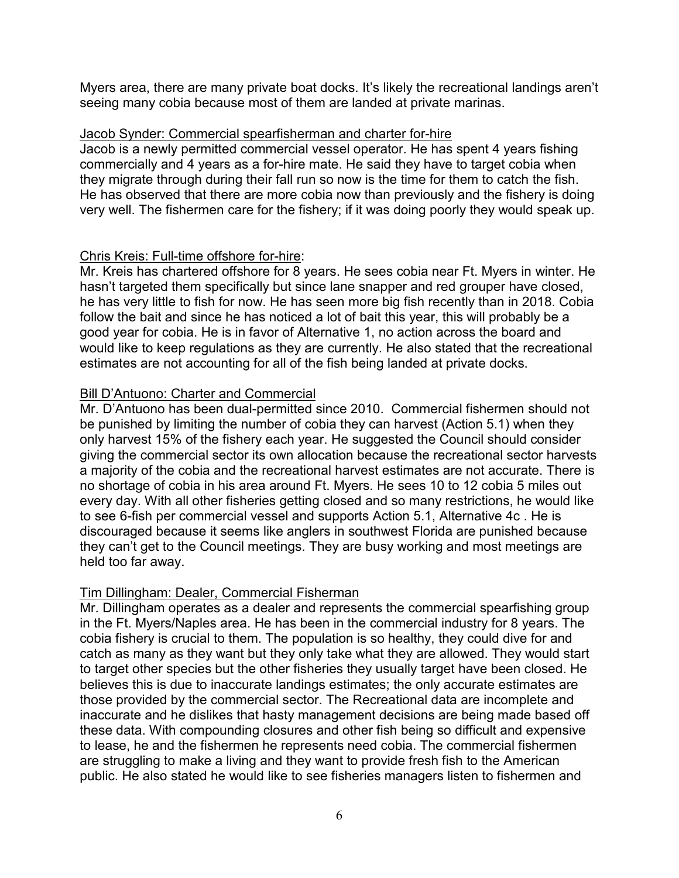Myers area, there are many private boat docks. It's likely the recreational landings aren't seeing many cobia because most of them are landed at private marinas.

### Jacob Synder: Commercial spearfisherman and charter for-hire

Jacob is a newly permitted commercial vessel operator. He has spent 4 years fishing commercially and 4 years as a for-hire mate. He said they have to target cobia when they migrate through during their fall run so now is the time for them to catch the fish. He has observed that there are more cobia now than previously and the fishery is doing very well. The fishermen care for the fishery; if it was doing poorly they would speak up.

### Chris Kreis: Full-time offshore for-hire:

Mr. Kreis has chartered offshore for 8 years. He sees cobia near Ft. Myers in winter. He hasn't targeted them specifically but since lane snapper and red grouper have closed, he has very little to fish for now. He has seen more big fish recently than in 2018. Cobia follow the bait and since he has noticed a lot of bait this year, this will probably be a good year for cobia. He is in favor of Alternative 1, no action across the board and would like to keep regulations as they are currently. He also stated that the recreational estimates are not accounting for all of the fish being landed at private docks.

### Bill D'Antuono: Charter and Commercial

Mr. D'Antuono has been dual-permitted since 2010. Commercial fishermen should not be punished by limiting the number of cobia they can harvest (Action 5.1) when they only harvest 15% of the fishery each year. He suggested the Council should consider giving the commercial sector its own allocation because the recreational sector harvests a majority of the cobia and the recreational harvest estimates are not accurate. There is no shortage of cobia in his area around Ft. Myers. He sees 10 to 12 cobia 5 miles out every day. With all other fisheries getting closed and so many restrictions, he would like to see 6-fish per commercial vessel and supports Action 5.1, Alternative 4c . He is discouraged because it seems like anglers in southwest Florida are punished because they can't get to the Council meetings. They are busy working and most meetings are held too far away.

### Tim Dillingham: Dealer, Commercial Fisherman

Mr. Dillingham operates as a dealer and represents the commercial spearfishing group in the Ft. Myers/Naples area. He has been in the commercial industry for 8 years. The cobia fishery is crucial to them. The population is so healthy, they could dive for and catch as many as they want but they only take what they are allowed. They would start to target other species but the other fisheries they usually target have been closed. He believes this is due to inaccurate landings estimates; the only accurate estimates are those provided by the commercial sector. The Recreational data are incomplete and inaccurate and he dislikes that hasty management decisions are being made based off these data. With compounding closures and other fish being so difficult and expensive to lease, he and the fishermen he represents need cobia. The commercial fishermen are struggling to make a living and they want to provide fresh fish to the American public. He also stated he would like to see fisheries managers listen to fishermen and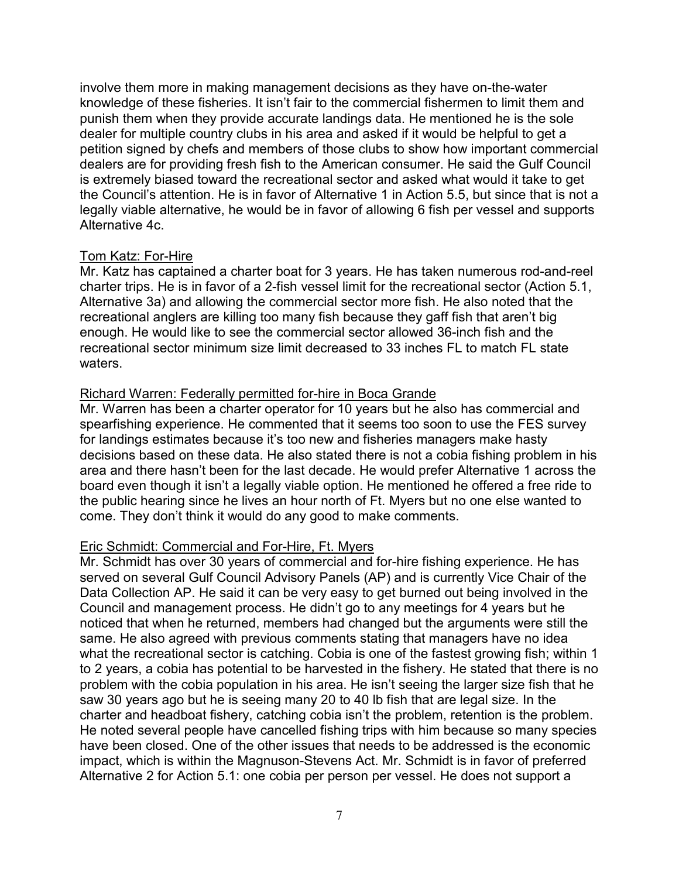involve them more in making management decisions as they have on-the-water knowledge of these fisheries. It isn't fair to the commercial fishermen to limit them and punish them when they provide accurate landings data. He mentioned he is the sole dealer for multiple country clubs in his area and asked if it would be helpful to get a petition signed by chefs and members of those clubs to show how important commercial dealers are for providing fresh fish to the American consumer. He said the Gulf Council is extremely biased toward the recreational sector and asked what would it take to get the Council's attention. He is in favor of Alternative 1 in Action 5.5, but since that is not a legally viable alternative, he would be in favor of allowing 6 fish per vessel and supports Alternative 4c.

### Tom Katz: For-Hire

Mr. Katz has captained a charter boat for 3 years. He has taken numerous rod-and-reel charter trips. He is in favor of a 2-fish vessel limit for the recreational sector (Action 5.1, Alternative 3a) and allowing the commercial sector more fish. He also noted that the recreational anglers are killing too many fish because they gaff fish that aren't big enough. He would like to see the commercial sector allowed 36-inch fish and the recreational sector minimum size limit decreased to 33 inches FL to match FL state waters.

### Richard Warren: Federally permitted for-hire in Boca Grande

Mr. Warren has been a charter operator for 10 years but he also has commercial and spearfishing experience. He commented that it seems too soon to use the FES survey for landings estimates because it's too new and fisheries managers make hasty decisions based on these data. He also stated there is not a cobia fishing problem in his area and there hasn't been for the last decade. He would prefer Alternative 1 across the board even though it isn't a legally viable option. He mentioned he offered a free ride to the public hearing since he lives an hour north of Ft. Myers but no one else wanted to come. They don't think it would do any good to make comments.

### Eric Schmidt: Commercial and For-Hire, Ft. Myers

Mr. Schmidt has over 30 years of commercial and for-hire fishing experience. He has served on several Gulf Council Advisory Panels (AP) and is currently Vice Chair of the Data Collection AP. He said it can be very easy to get burned out being involved in the Council and management process. He didn't go to any meetings for 4 years but he noticed that when he returned, members had changed but the arguments were still the same. He also agreed with previous comments stating that managers have no idea what the recreational sector is catching. Cobia is one of the fastest growing fish; within 1 to 2 years, a cobia has potential to be harvested in the fishery. He stated that there is no problem with the cobia population in his area. He isn't seeing the larger size fish that he saw 30 years ago but he is seeing many 20 to 40 lb fish that are legal size. In the charter and headboat fishery, catching cobia isn't the problem, retention is the problem. He noted several people have cancelled fishing trips with him because so many species have been closed. One of the other issues that needs to be addressed is the economic impact, which is within the Magnuson-Stevens Act. Mr. Schmidt is in favor of preferred Alternative 2 for Action 5.1: one cobia per person per vessel. He does not support a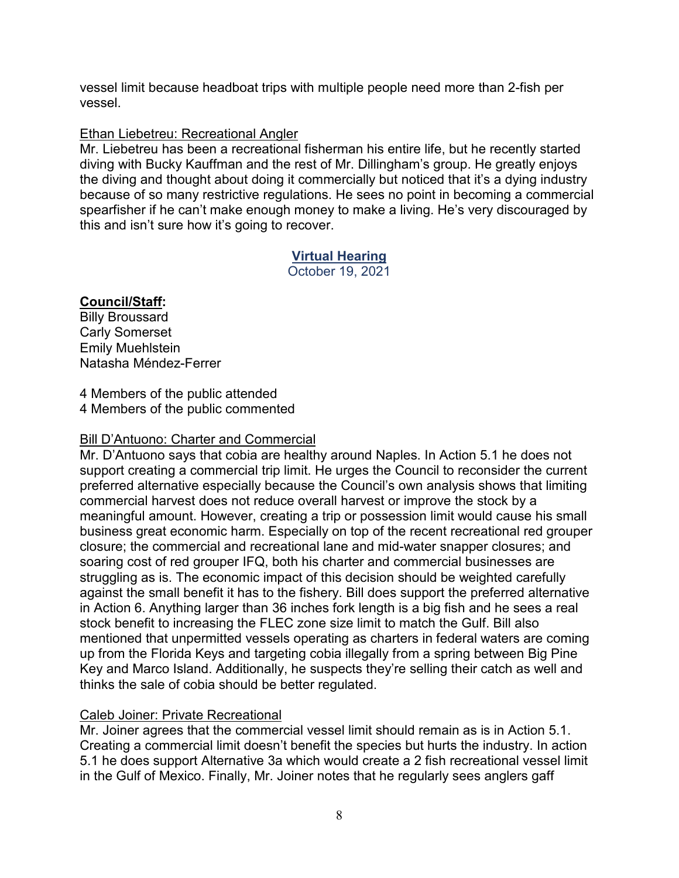vessel limit because headboat trips with multiple people need more than 2-fish per vessel.

# Ethan Liebetreu: Recreational Angler

Mr. Liebetreu has been a recreational fisherman his entire life, but he recently started diving with Bucky Kauffman and the rest of Mr. Dillingham's group. He greatly enjoys the diving and thought about doing it commercially but noticed that it's a dying industry because of so many restrictive regulations. He sees no point in becoming a commercial spearfisher if he can't make enough money to make a living. He's very discouraged by this and isn't sure how it's going to recover.

# **Virtual Hearing**

October 19, 2021

# **Council/Staff:**

Billy Broussard Carly Somerset Emily Muehlstein Natasha Méndez-Ferrer

4 Members of the public attended 4 Members of the public commented

# Bill D'Antuono: Charter and Commercial

Mr. D'Antuono says that cobia are healthy around Naples. In Action 5.1 he does not support creating a commercial trip limit. He urges the Council to reconsider the current preferred alternative especially because the Council's own analysis shows that limiting commercial harvest does not reduce overall harvest or improve the stock by a meaningful amount. However, creating a trip or possession limit would cause his small business great economic harm. Especially on top of the recent recreational red grouper closure; the commercial and recreational lane and mid-water snapper closures; and soaring cost of red grouper IFQ, both his charter and commercial businesses are struggling as is. The economic impact of this decision should be weighted carefully against the small benefit it has to the fishery. Bill does support the preferred alternative in Action 6. Anything larger than 36 inches fork length is a big fish and he sees a real stock benefit to increasing the FLEC zone size limit to match the Gulf. Bill also mentioned that unpermitted vessels operating as charters in federal waters are coming up from the Florida Keys and targeting cobia illegally from a spring between Big Pine Key and Marco Island. Additionally, he suspects they're selling their catch as well and thinks the sale of cobia should be better regulated.

# Caleb Joiner: Private Recreational

Mr. Joiner agrees that the commercial vessel limit should remain as is in Action 5.1. Creating a commercial limit doesn't benefit the species but hurts the industry. In action 5.1 he does support Alternative 3a which would create a 2 fish recreational vessel limit in the Gulf of Mexico. Finally, Mr. Joiner notes that he regularly sees anglers gaff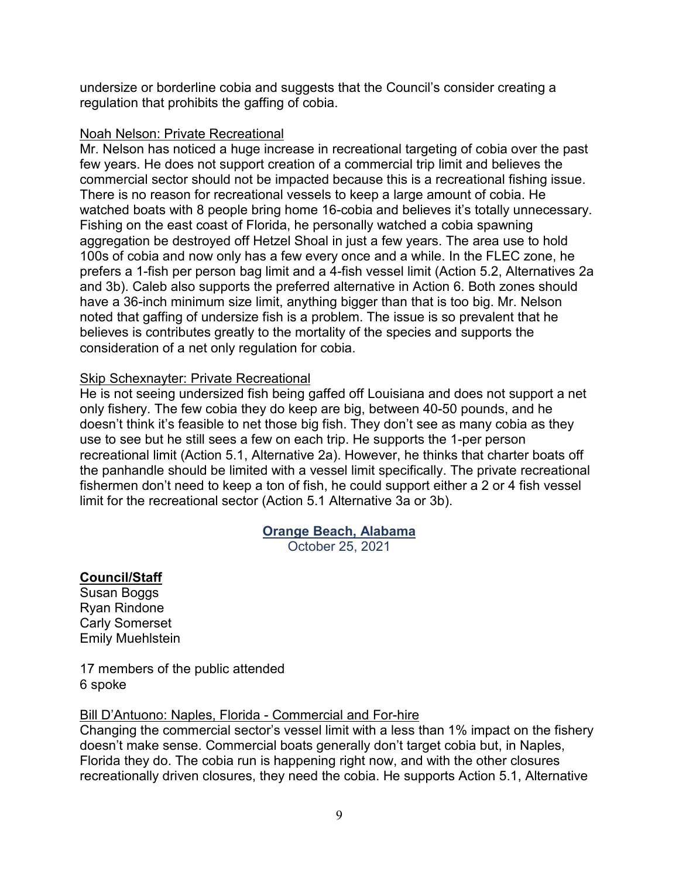undersize or borderline cobia and suggests that the Council's consider creating a regulation that prohibits the gaffing of cobia.

### Noah Nelson: Private Recreational

Mr. Nelson has noticed a huge increase in recreational targeting of cobia over the past few years. He does not support creation of a commercial trip limit and believes the commercial sector should not be impacted because this is a recreational fishing issue. There is no reason for recreational vessels to keep a large amount of cobia. He watched boats with 8 people bring home 16-cobia and believes it's totally unnecessary. Fishing on the east coast of Florida, he personally watched a cobia spawning aggregation be destroyed off Hetzel Shoal in just a few years. The area use to hold 100s of cobia and now only has a few every once and a while. In the FLEC zone, he prefers a 1-fish per person bag limit and a 4-fish vessel limit (Action 5.2, Alternatives 2a and 3b). Caleb also supports the preferred alternative in Action 6. Both zones should have a 36-inch minimum size limit, anything bigger than that is too big. Mr. Nelson noted that gaffing of undersize fish is a problem. The issue is so prevalent that he believes is contributes greatly to the mortality of the species and supports the consideration of a net only regulation for cobia.

### Skip Schexnayter: Private Recreational

He is not seeing undersized fish being gaffed off Louisiana and does not support a net only fishery. The few cobia they do keep are big, between 40-50 pounds, and he doesn't think it's feasible to net those big fish. They don't see as many cobia as they use to see but he still sees a few on each trip. He supports the 1-per person recreational limit (Action 5.1, Alternative 2a). However, he thinks that charter boats off the panhandle should be limited with a vessel limit specifically. The private recreational fishermen don't need to keep a ton of fish, he could support either a 2 or 4 fish vessel limit for the recreational sector (Action 5.1 Alternative 3a or 3b).

### **Orange Beach, Alabama**

October 25, 2021

### **Council/Staff**

Susan Boggs Ryan Rindone Carly Somerset Emily Muehlstein

17 members of the public attended 6 spoke

### Bill D'Antuono: Naples, Florida - Commercial and For-hire

Changing the commercial sector's vessel limit with a less than 1% impact on the fishery doesn't make sense. Commercial boats generally don't target cobia but, in Naples, Florida they do. The cobia run is happening right now, and with the other closures recreationally driven closures, they need the cobia. He supports Action 5.1, Alternative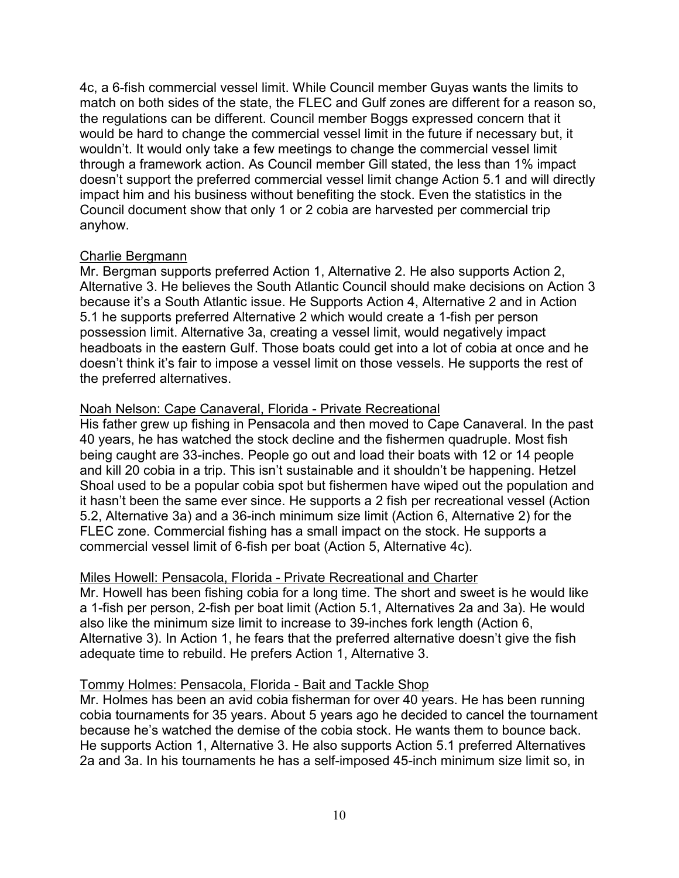4c, a 6-fish commercial vessel limit. While Council member Guyas wants the limits to match on both sides of the state, the FLEC and Gulf zones are different for a reason so, the regulations can be different. Council member Boggs expressed concern that it would be hard to change the commercial vessel limit in the future if necessary but, it wouldn't. It would only take a few meetings to change the commercial vessel limit through a framework action. As Council member Gill stated, the less than 1% impact doesn't support the preferred commercial vessel limit change Action 5.1 and will directly impact him and his business without benefiting the stock. Even the statistics in the Council document show that only 1 or 2 cobia are harvested per commercial trip anyhow.

### Charlie Bergmann

Mr. Bergman supports preferred Action 1, Alternative 2. He also supports Action 2, Alternative 3. He believes the South Atlantic Council should make decisions on Action 3 because it's a South Atlantic issue. He Supports Action 4, Alternative 2 and in Action 5.1 he supports preferred Alternative 2 which would create a 1-fish per person possession limit. Alternative 3a, creating a vessel limit, would negatively impact headboats in the eastern Gulf. Those boats could get into a lot of cobia at once and he doesn't think it's fair to impose a vessel limit on those vessels. He supports the rest of the preferred alternatives.

### Noah Nelson: Cape Canaveral, Florida - Private Recreational

His father grew up fishing in Pensacola and then moved to Cape Canaveral. In the past 40 years, he has watched the stock decline and the fishermen quadruple. Most fish being caught are 33-inches. People go out and load their boats with 12 or 14 people and kill 20 cobia in a trip. This isn't sustainable and it shouldn't be happening. Hetzel Shoal used to be a popular cobia spot but fishermen have wiped out the population and it hasn't been the same ever since. He supports a 2 fish per recreational vessel (Action 5.2, Alternative 3a) and a 36-inch minimum size limit (Action 6, Alternative 2) for the FLEC zone. Commercial fishing has a small impact on the stock. He supports a commercial vessel limit of 6-fish per boat (Action 5, Alternative 4c).

### Miles Howell: Pensacola, Florida - Private Recreational and Charter

Mr. Howell has been fishing cobia for a long time. The short and sweet is he would like a 1-fish per person, 2-fish per boat limit (Action 5.1, Alternatives 2a and 3a). He would also like the minimum size limit to increase to 39-inches fork length (Action 6, Alternative 3). In Action 1, he fears that the preferred alternative doesn't give the fish adequate time to rebuild. He prefers Action 1, Alternative 3.

#### Tommy Holmes: Pensacola, Florida - Bait and Tackle Shop

Mr. Holmes has been an avid cobia fisherman for over 40 years. He has been running cobia tournaments for 35 years. About 5 years ago he decided to cancel the tournament because he's watched the demise of the cobia stock. He wants them to bounce back. He supports Action 1, Alternative 3. He also supports Action 5.1 preferred Alternatives 2a and 3a. In his tournaments he has a self-imposed 45-inch minimum size limit so, in